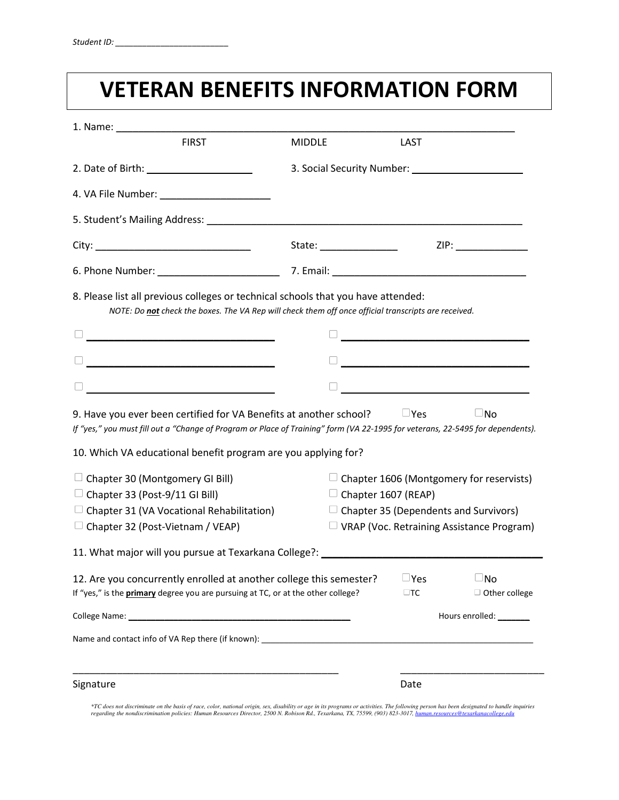### **VETERAN BENEFITS INFORMATION FORM**

| <b>FIRST</b>                                                                                                                                                                                     | <b>MIDDLE</b>          | LAST                                             |                                                                   |  |
|--------------------------------------------------------------------------------------------------------------------------------------------------------------------------------------------------|------------------------|--------------------------------------------------|-------------------------------------------------------------------|--|
|                                                                                                                                                                                                  |                        |                                                  |                                                                   |  |
|                                                                                                                                                                                                  |                        |                                                  |                                                                   |  |
|                                                                                                                                                                                                  |                        |                                                  |                                                                   |  |
|                                                                                                                                                                                                  | State: _______________ |                                                  | ZIP: _______________                                              |  |
|                                                                                                                                                                                                  |                        |                                                  |                                                                   |  |
| 8. Please list all previous colleges or technical schools that you have attended:<br>NOTE: Do not check the boxes. The VA Rep will check them off once official transcripts are received.        |                        |                                                  |                                                                   |  |
| <u> 1989 - Johann John Stone, mars eta biztanleria (</u>                                                                                                                                         |                        |                                                  | <u> 1989 - Johann John Stone, mars eta biztanleria (h. 1989).</u> |  |
| <u> 1989 - Johann John Hermann, marwolaeth a bhaile an t-Alban Alban Alban Alban Alban Alban Alban Alban Alban Alb</u>                                                                           |                        |                                                  |                                                                   |  |
|                                                                                                                                                                                                  |                        |                                                  | <u> 1989 - Johann Stoff, fransk politik (</u>                     |  |
| If "yes," you must fill out a "Change of Program or Place of Training" form (VA 22-1995 for veterans, 22-5495 for dependents).<br>10. Which VA educational benefit program are you applying for? |                        |                                                  |                                                                   |  |
| $\Box$ Chapter 30 (Montgomery GI Bill)                                                                                                                                                           |                        |                                                  | $\Box$ Chapter 1606 (Montgomery for reservists)                   |  |
| $\Box$ Chapter 33 (Post-9/11 GI Bill)                                                                                                                                                            |                        | $\Box$ Chapter 1607 (REAP)                       |                                                                   |  |
| $\Box$ Chapter 31 (VA Vocational Rehabilitation)                                                                                                                                                 |                        | $\Box$ Chapter 35 (Dependents and Survivors)     |                                                                   |  |
| $\Box$ Chapter 32 (Post-Vietnam / VEAP)                                                                                                                                                          |                        | $\Box$ VRAP (Voc. Retraining Assistance Program) |                                                                   |  |
| 11. What major will you pursue at Texarkana College?: Network and the state of the state of the state of the state of                                                                            |                        |                                                  |                                                                   |  |
| 12. Are you concurrently enrolled at another college this semester?<br>If "yes," is the <b>primary</b> degree you are pursuing at TC, or at the other college?                                   |                        | $\Box$ Yes<br>$\Box$ TC                          | $\square$ No<br>$\Box$ Other college                              |  |
|                                                                                                                                                                                                  |                        | Hours enrolled: ________                         |                                                                   |  |
| Name and contact info of VA Rep there (if known): _______________________________                                                                                                                |                        |                                                  |                                                                   |  |
|                                                                                                                                                                                                  |                        |                                                  |                                                                   |  |
| Signature                                                                                                                                                                                        |                        | Date                                             |                                                                   |  |

\*TC does not discriminate on the basis of race, color, national origin, sex, disability or age in its programs or activities. The following person has been designated to handle inquiries<br>regarding the nondiscrimination pol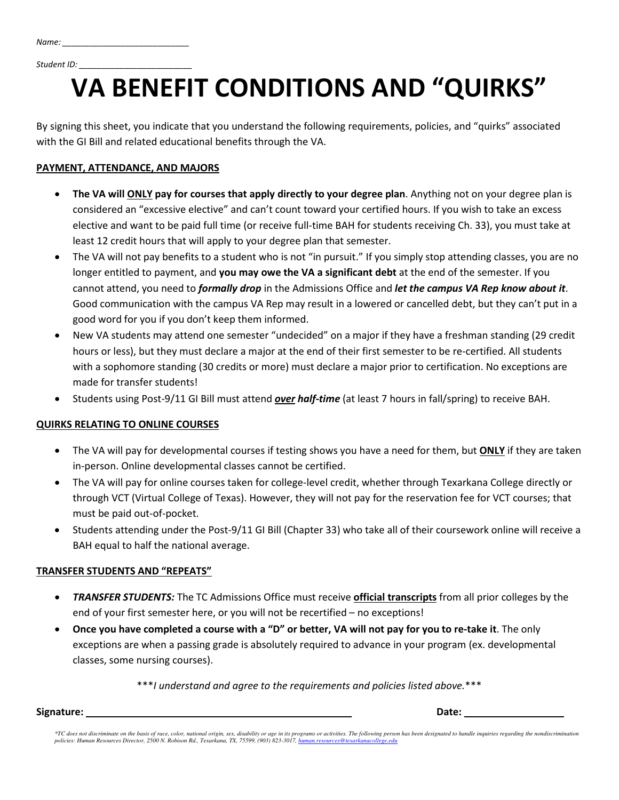*Student ID: \_\_\_\_\_\_\_\_\_\_\_\_\_\_\_\_\_\_\_\_\_\_\_\_\_*

# **VA BENEFIT CONDITIONS AND "QUIRKS"**

By signing this sheet, you indicate that you understand the following requirements, policies, and "quirks" associated with the GI Bill and related educational benefits through the VA.

#### **PAYMENT, ATTENDANCE, AND MAJORS**

- **The VA will ONLY pay for courses that apply directly to your degree plan**. Anything not on your degree plan is considered an "excessive elective" and can't count toward your certified hours. If you wish to take an excess elective and want to be paid full time (or receive full-time BAH for students receiving Ch. 33), you must take at least 12 credit hours that will apply to your degree plan that semester.
- The VA will not pay benefits to a student who is not "in pursuit." If you simply stop attending classes, you are no longer entitled to payment, and **you may owe the VA a significant debt** at the end of the semester. If you cannot attend, you need to *formally drop* in the Admissions Office and *let the campus VA Rep know about it*. Good communication with the campus VA Rep may result in a lowered or cancelled debt, but they can't put in a good word for you if you don't keep them informed.
- New VA students may attend one semester "undecided" on a major if they have a freshman standing (29 credit hours or less), but they must declare a major at the end of their first semester to be re-certified. All students with a sophomore standing (30 credits or more) must declare a major prior to certification. No exceptions are made for transfer students!
- Students using Post-9/11 GI Bill must attend *over half-time* (at least 7 hours in fall/spring) to receive BAH.

#### **QUIRKS RELATING TO ONLINE COURSES**

- The VA will pay for developmental courses if testing shows you have a need for them, but **ONLY** if they are taken in-person. Online developmental classes cannot be certified.
- The VA will pay for online courses taken for college-level credit, whether through Texarkana College directly or through VCT (Virtual College of Texas). However, they will not pay for the reservation fee for VCT courses; that must be paid out-of-pocket.
- Students attending under the Post-9/11 GI Bill (Chapter 33) who take all of their coursework online will receive a BAH equal to half the national average.

#### **TRANSFER STUDENTS AND "REPEATS"**

- *TRANSFER STUDENTS:* The TC Admissions Office must receive **official transcripts** from all prior colleges by the end of your first semester here, or you will not be recertified – no exceptions!
- **Once you have completed a course with a "D" or better, VA will not pay for you to re-take it**. The only exceptions are when a passing grade is absolutely required to advance in your program (ex. developmental classes, some nursing courses).

\*\*\**I understand and agree to the requirements and policies listed above.*\*\*\*

**Signature:** \_\_\_\_\_\_\_\_\_\_\_\_\_\_\_\_\_\_\_\_\_\_\_\_\_\_\_\_\_\_\_\_\_\_\_\_\_\_\_\_\_\_\_\_\_\_\_\_ **Date:** \_\_\_\_\_\_\_\_\_\_\_\_\_\_\_\_\_\_

\*TC does not discriminate on the basis of race, color, national origin, sex, disability or age in its programs or activities. The following person has been designated to handle inquiries regarding the nondiscrimination *policies: Human Resources Director, 2500 N. Robison Rd., Texarkana, TX, 75599, (903) 823-3017[, human.resources@texarkanacollege.edu](mailto:human.resources@texarkanacollege.edu)*